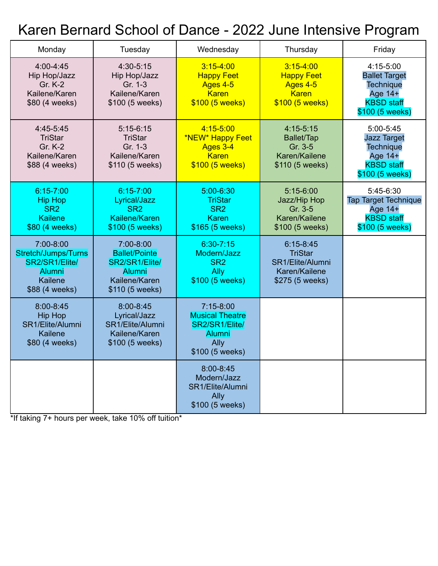# Karen Bernard School of Dance - 2022 June Intensive Program

| Monday                                                                                           | Tuesday                                                                                           | Wednesday                                                                                           | Thursday                                                                                | Friday                                                                                                     |
|--------------------------------------------------------------------------------------------------|---------------------------------------------------------------------------------------------------|-----------------------------------------------------------------------------------------------------|-----------------------------------------------------------------------------------------|------------------------------------------------------------------------------------------------------------|
| 4:00-4:45<br>Hip Hop/Jazz<br><b>Gr. K-2</b><br>Kailene/Karen<br>\$80 (4 weeks)                   | 4:30-5:15<br>Hip Hop/Jazz<br>Gr. 1-3<br>Kailene/Karen<br>\$100 (5 weeks)                          | $3:15 - 4:00$<br><b>Happy Feet</b><br>Ages 4-5<br><b>Karen</b><br>\$100 (5 weeks)                   | $3:15-4:00$<br><b>Happy Feet</b><br>Ages 4-5<br><b>Karen</b><br>\$100 (5 weeks)         | $4:15-5:00$<br><b>Ballet Target</b><br><b>Technique</b><br>Age 14+<br><b>KBSD</b> staff<br>\$100 (5 weeks) |
| 4:45-5:45<br><b>TriStar</b><br>Gr. K-2<br>Kailene/Karen<br>\$88 (4 weeks)                        | $5:15-6:15$<br><b>TriStar</b><br>Gr. 1-3<br>Kailene/Karen<br>\$110 (5 weeks)                      | $4:15 - 5:00$<br>*NEW* Happy Feet<br>Ages 3-4<br><b>Karen</b><br>\$100 (5 weeks)                    | $4:15-5:15$<br>Ballet/Tap<br>Gr. 3-5<br>Karen/Kailene<br>\$110 (5 weeks)                | 5:00-5:45<br><b>Jazz Target</b><br><b>Technique</b><br>Age 14+<br><b>KBSD staff</b><br>\$100 (5 weeks)     |
| $6:15 - 7:00$<br><b>Hip Hop</b><br>SR <sub>2</sub><br><b>Kailene</b><br>\$80 (4 weeks)           | $6:15 - 7:00$<br>Lyrical/Jazz<br>SR <sub>2</sub><br>Kailene/Karen<br>\$100 (5 weeks)              | 5:00-6:30<br><b>TriStar</b><br>SR <sub>2</sub><br>Karen<br>\$165 (5 weeks)                          | $5:15-6:00$<br>Jazz/Hip Hop<br>Gr. 3-5<br>Karen/Kailene<br>\$100 (5 weeks)              | 5:45-6:30<br><b>Tap Target Technique</b><br>Age 14+<br><b>KBSD staff</b><br>\$100 (5 weeks)                |
| 7:00-8:00<br>Stretch/Jumps/Turns<br>SR2/SR1/Elite/<br><b>Alumni</b><br>Kailene<br>\$88 (4 weeks) | 7:00-8:00<br><b>Ballet/Pointe</b><br>SR2/SR1/Elite/<br>Alumni<br>Kailene/Karen<br>\$110 (5 weeks) | $6:30 - 7:15$<br>Modern/Jazz<br>SR <sub>2</sub><br>Ally<br>\$100 (5 weeks)                          | $6:15 - 8:45$<br><b>TriStar</b><br>SR1/Elite/Alumni<br>Karen/Kailene<br>\$275 (5 weeks) |                                                                                                            |
| 8:00-8:45<br><b>Hip Hop</b><br>SR1/Elite/Alumni<br>Kailene<br>\$80 (4 weeks)                     | 8:00-8:45<br>Lyrical/Jazz<br>SR1/Elite/Alumni<br>Kailene/Karen<br>\$100 (5 weeks)                 | $7:15-8:00$<br><b>Musical Theatre</b><br>SR2/SR1/Elite/<br><b>Alumni</b><br>Ally<br>\$100 (5 weeks) |                                                                                         |                                                                                                            |
|                                                                                                  |                                                                                                   | 8:00-8:45<br>Modern/Jazz<br>SR1/Elite/Alumni<br>Ally<br>\$100 (5 weeks)                             |                                                                                         |                                                                                                            |

\*If taking 7+ hours per week, take 10% off tuition\*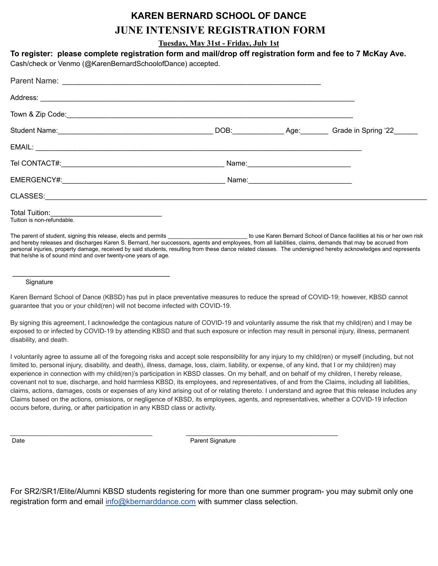# **KAREN BERNARD SCHOOL OF DANCE JUNE INTENSIVE REGISTRATION FORM**

**Tuesday, May 31st - Friday, July 1st**

**To register: please complete registration form and mail/drop off registration form and fee to 7 McKay Ave.**

Cash/check or Venmo (@KarenBernardSchoolofDance) accepted.

|                                                                                                                                                                                                                                                                 |  | DOB: Age: Grade in Spring '22 |
|-----------------------------------------------------------------------------------------------------------------------------------------------------------------------------------------------------------------------------------------------------------------|--|-------------------------------|
|                                                                                                                                                                                                                                                                 |  |                               |
|                                                                                                                                                                                                                                                                 |  |                               |
| EMERGENCY#:                                                                                                                                                                                                                                                     |  |                               |
| CLASSES: And the contract of the contract of the contract of the contract of the contract of the contract of the contract of the contract of the contract of the contract of the contract of the contract of the contract of t                                  |  |                               |
| <b>Total Tuition:</b> The Contract of the Contract of the Contract of the Contract of the Contract of the Contract of the Contract of the Contract of the Contract of the Contract of the Contract of the Contract of the Contract<br>Tuition is non-refundable |  |                               |

The parent of student, signing this release, elects and permits **Exercice 1 and the student of the outeral School of Dance facilities at his or her own risk** and hereby releases and discharges Karen S. Bernard, her successors, agents and employees, from all liabilities, claims, demands that may be accrued from personal injuries, property damage, received by said students, resulting from these dance related classes. The undersigned hereby acknowledges and represents that he/she is of sound mind and over twenty-one years of age.

#### **Signature**

\_\_\_\_\_\_\_\_\_\_\_\_\_\_\_\_\_\_\_\_\_\_\_\_\_\_\_\_\_\_\_\_\_\_\_\_

Karen Bernard School of Dance (KBSD) has put in place preventative measures to reduce the spread of COVID-19; however, KBSD cannot guarantee that you or your child(ren) will not become infected with COVID-19.

By signing this agreement, I acknowledge the contagious nature of COVID-19 and voluntarily assume the risk that my child(ren) and I may be exposed to or infected by COVID-19 by attending KBSD and that such exposure or infection may result in personal injury, illness, permanent disability, and death.

I voluntarily agree to assume all of the foregoing risks and accept sole responsibility for any injury to my child(ren) or myself (including, but not limited to, personal injury, disability, and death), illness, damage, loss, claim, liability, or expense, of any kind, that I or my child(ren) may experience in connection with my child(ren)'s participation in KBSD classes. On my behalf, and on behalf of my children, I hereby release, covenant not to sue, discharge, and hold harmless KBSD, its employees, and representatives, of and from the Claims, including all liabilities, claims, actions, damages, costs or expenses of any kind arising out of or relating thereto. I understand and agree that this release includes any Claims based on the actions, omissions, or negligence of KBSD, its employees, agents, and representatives, whether a COVID-19 infection occurs before, during, or after participation in any KBSD class or activity.

Date **Date Parent Signature Parent Signature** 

\_\_\_\_\_\_\_\_\_\_\_\_\_\_\_\_\_\_\_\_\_\_\_\_\_\_\_\_\_\_\_\_\_\_\_\_\_\_\_\_\_\_ \_\_\_\_\_\_\_\_\_\_\_\_\_\_\_\_\_\_\_\_\_\_\_\_\_\_\_\_\_\_\_\_\_\_\_\_\_\_\_\_\_\_\_\_\_

For SR2/SR1/Elite/Alumni KBSD students registering for more than one summer program- you may submit only one registration form and email [info@kbernarddance.com](mailto:info@kbernarddance.com) with summer class selection.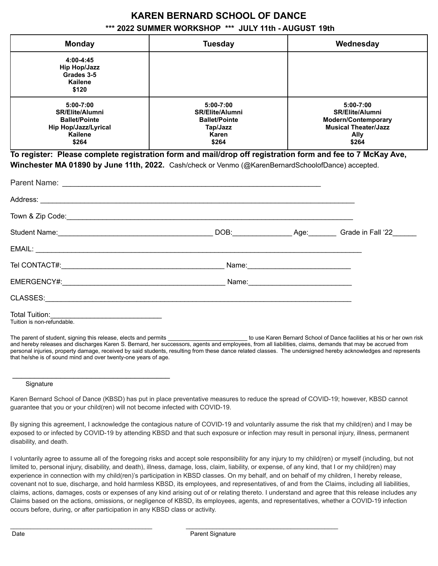# **KAREN BERNARD SCHOOL OF DANCE**

### **\*\*\* 2022 SUMMER WORKSHOP \*\*\* JULY 11th - AUGUST 19th**

| <b>Monday</b>                                                                                               | <b>Tuesday</b>                                                                            | Wednesday                                                                                                                    |
|-------------------------------------------------------------------------------------------------------------|-------------------------------------------------------------------------------------------|------------------------------------------------------------------------------------------------------------------------------|
| 4:00-4:45<br><b>Hip Hop/Jazz</b><br>Grades 3-5<br>Kailene<br>\$120                                          |                                                                                           |                                                                                                                              |
| $5:00 - 7:00$<br><b>SR/Elite/Alumni</b><br><b>Ballet/Pointe</b><br>Hip Hop/Jazz/Lyrical<br>Kailene<br>\$264 | 5:00-7:00<br><b>SR/Elite/Alumni</b><br><b>Ballet/Pointe</b><br>Tap/Jazz<br>Karen<br>\$264 | $5:00 - 7:00$<br><b>SR/Elite/Alumni</b><br><b>Modern/Contemporary</b><br><b>Musical Theater/Jazz</b><br><b>Ally</b><br>\$264 |

**To register: Please complete registration form and mail/drop off registration form and fee to 7 McKay Ave, Winchester MA 01890 by June 11th, 2022.** Cash/check or Venmo (@KarenBernardSchoolofDance) accepted.

| Town & Zip Code: <b>The Code of the Contract of the Contract of the Contract of the Code of the Code of the Code of the Code of the Code of the Code of the Code of the Code of the Code of the Code of the Code of the Code of </b> |  |  |
|--------------------------------------------------------------------------------------------------------------------------------------------------------------------------------------------------------------------------------------|--|--|
|                                                                                                                                                                                                                                      |  |  |
|                                                                                                                                                                                                                                      |  |  |
|                                                                                                                                                                                                                                      |  |  |
|                                                                                                                                                                                                                                      |  |  |
| CLASSES: And the contract of the contract of the contract of the contract of the contract of the contract of the contract of the contract of the contract of the contract of the contract of the contract of the contract of t       |  |  |
| Tuition is non-refundable.                                                                                                                                                                                                           |  |  |

The parent of student, signing this release, elects and permits **Exercice 1 and the student of the outeral School of Dance facilities at his or her own risk** and hereby releases and discharges Karen S. Bernard, her successors, agents and employees, from all liabilities, claims, demands that may be accrued from personal injuries, property damage, received by said students, resulting from these dance related classes. The undersigned hereby acknowledges and represents that he/she is of sound mind and over twenty-one years of age.

### **Signature**

\_\_\_\_\_\_\_\_\_\_\_\_\_\_\_\_\_\_\_\_\_\_\_\_\_\_\_\_\_\_\_\_\_\_\_\_

Karen Bernard School of Dance (KBSD) has put in place preventative measures to reduce the spread of COVID-19; however, KBSD cannot guarantee that you or your child(ren) will not become infected with COVID-19.

By signing this agreement, I acknowledge the contagious nature of COVID-19 and voluntarily assume the risk that my child(ren) and I may be exposed to or infected by COVID-19 by attending KBSD and that such exposure or infection may result in personal injury, illness, permanent disability, and death.

I voluntarily agree to assume all of the foregoing risks and accept sole responsibility for any injury to my child(ren) or myself (including, but not limited to, personal injury, disability, and death), illness, damage, loss, claim, liability, or expense, of any kind, that I or my child(ren) may experience in connection with my child(ren)'s participation in KBSD classes. On my behalf, and on behalf of my children, I hereby release, covenant not to sue, discharge, and hold harmless KBSD, its employees, and representatives, of and from the Claims, including all liabilities, claims, actions, damages, costs or expenses of any kind arising out of or relating thereto. I understand and agree that this release includes any Claims based on the actions, omissions, or negligence of KBSD, its employees, agents, and representatives, whether a COVID-19 infection occurs before, during, or after participation in any KBSD class or activity.

\_\_\_\_\_\_\_\_\_\_\_\_\_\_\_\_\_\_\_\_\_\_\_\_\_\_\_\_\_\_\_\_\_\_\_\_\_\_\_\_\_\_ \_\_\_\_\_\_\_\_\_\_\_\_\_\_\_\_\_\_\_\_\_\_\_\_\_\_\_\_\_\_\_\_\_\_\_\_\_\_\_\_\_\_\_\_\_